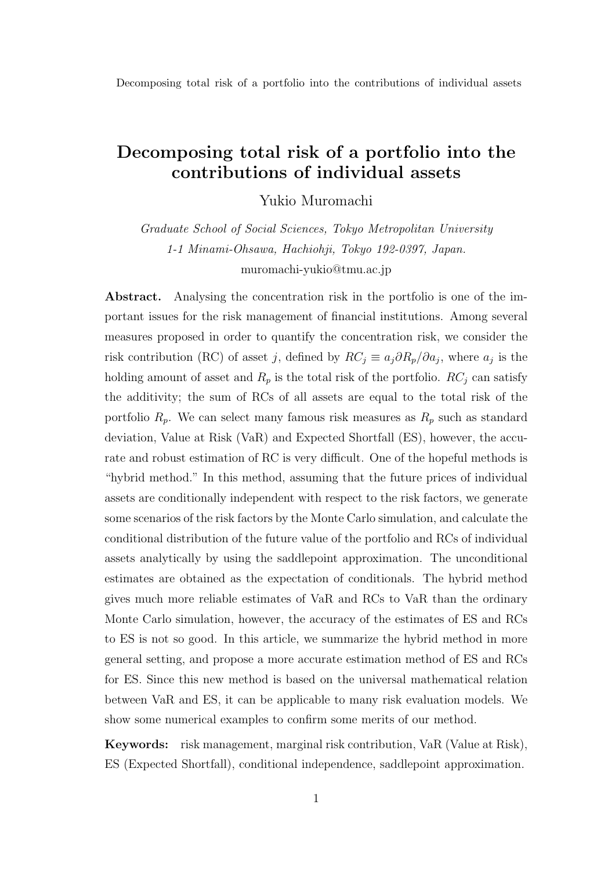Yukio Muromachi

*Graduate School of Social Sciences, Tokyo Metropolitan University 1-1 Minami-Ohsawa, Hachiohji, Tokyo 192-0397, Japan.* muromachi-yukio@tmu.ac.jp

**Abstract.** Analysing the concentration risk in the portfolio is one of the important issues for the risk management of financial institutions. Among several measures proposed in order to quantify the concentration risk, we consider the risk contribution (RC) of asset *j*, defined by  $RC_j \equiv a_j \partial R_p / \partial a_j$ , where  $a_j$  is the holding amount of asset and  $R_p$  is the total risk of the portfolio.  $RC_j$  can satisfy the additivity; the sum of RCs of all assets are equal to the total risk of the portfolio  $R_p$ . We can select many famous risk measures as  $R_p$  such as standard deviation, Value at Risk (VaR) and Expected Shortfall (ES), however, the accurate and robust estimation of RC is very difficult. One of the hopeful methods is "hybrid method." In this method, assuming that the future prices of individual assets are conditionally independent with respect to the risk factors, we generate some scenarios of the risk factors by the Monte Carlo simulation, and calculate the conditional distribution of the future value of the portfolio and RCs of individual assets analytically by using the saddlepoint approximation. The unconditional estimates are obtained as the expectation of conditionals. The hybrid method gives much more reliable estimates of VaR and RCs to VaR than the ordinary Monte Carlo simulation, however, the accuracy of the estimates of ES and RCs to ES is not so good. In this article, we summarize the hybrid method in more general setting, and propose a more accurate estimation method of ES and RCs for ES. Since this new method is based on the universal mathematical relation between VaR and ES, it can be applicable to many risk evaluation models. We show some numerical examples to confirm some merits of our method.

**Keywords:** risk management, marginal risk contribution, VaR (Value at Risk), ES (Expected Shortfall), conditional independence, saddlepoint approximation.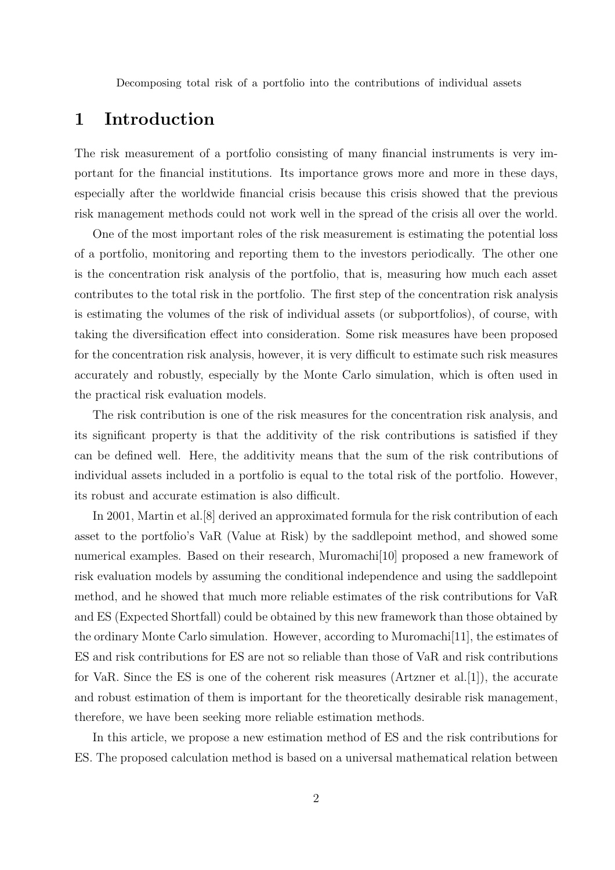## **1 Introduction**

The risk measurement of a portfolio consisting of many financial instruments is very important for the financial institutions. Its importance grows more and more in these days, especially after the worldwide financial crisis because this crisis showed that the previous risk management methods could not work well in the spread of the crisis all over the world.

One of the most important roles of the risk measurement is estimating the potential loss of a portfolio, monitoring and reporting them to the investors periodically. The other one is the concentration risk analysis of the portfolio, that is, measuring how much each asset contributes to the total risk in the portfolio. The first step of the concentration risk analysis is estimating the volumes of the risk of individual assets (or subportfolios), of course, with taking the diversification effect into consideration. Some risk measures have been proposed for the concentration risk analysis, however, it is very difficult to estimate such risk measures accurately and robustly, especially by the Monte Carlo simulation, which is often used in the practical risk evaluation models.

The risk contribution is one of the risk measures for the concentration risk analysis, and its significant property is that the additivity of the risk contributions is satisfied if they can be defined well. Here, the additivity means that the sum of the risk contributions of individual assets included in a portfolio is equal to the total risk of the portfolio. However, its robust and accurate estimation is also difficult.

In 2001, Martin et al.[8] derived an approximated formula for the risk contribution of each asset to the portfolio's VaR (Value at Risk) by the saddlepoint method, and showed some numerical examples. Based on their research, Muromachi<sup>[10]</sup> proposed a new framework of risk evaluation models by assuming the conditional independence and using the saddlepoint method, and he showed that much more reliable estimates of the risk contributions for VaR and ES (Expected Shortfall) could be obtained by this new framework than those obtained by the ordinary Monte Carlo simulation. However, according to Muromachi[11], the estimates of ES and risk contributions for ES are not so reliable than those of VaR and risk contributions for VaR. Since the ES is one of the coherent risk measures (Artzner et al.[1]), the accurate and robust estimation of them is important for the theoretically desirable risk management, therefore, we have been seeking more reliable estimation methods.

In this article, we propose a new estimation method of ES and the risk contributions for ES. The proposed calculation method is based on a universal mathematical relation between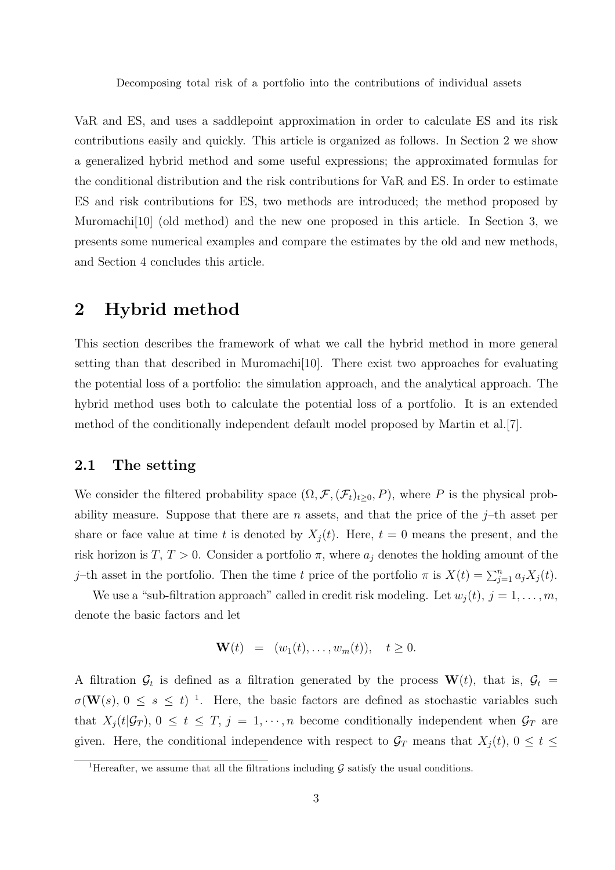VaR and ES, and uses a saddlepoint approximation in order to calculate ES and its risk contributions easily and quickly. This article is organized as follows. In Section 2 we show a generalized hybrid method and some useful expressions; the approximated formulas for the conditional distribution and the risk contributions for VaR and ES. In order to estimate ES and risk contributions for ES, two methods are introduced; the method proposed by Muromachi[10] (old method) and the new one proposed in this article. In Section 3, we presents some numerical examples and compare the estimates by the old and new methods, and Section 4 concludes this article.

## **2 Hybrid method**

This section describes the framework of what we call the hybrid method in more general setting than that described in Muromachi $[10]$ . There exist two approaches for evaluating the potential loss of a portfolio: the simulation approach, and the analytical approach. The hybrid method uses both to calculate the potential loss of a portfolio. It is an extended method of the conditionally independent default model proposed by Martin et al.[7].

### **2.1 The setting**

We consider the filtered probability space  $(\Omega, \mathcal{F}, (\mathcal{F}_t)_{t\geq 0}, P)$ , where *P* is the physical probability measure. Suppose that there are *n* assets, and that the price of the  $j$ –th asset per share or face value at time *t* is denoted by  $X_i(t)$ . Here,  $t = 0$  means the present, and the risk horizon is *T*,  $T > 0$ . Consider a portfolio  $\pi$ , where  $a_j$  denotes the holding amount of the *j*–th asset in the portfolio. Then the time *t* price of the portfolio  $\pi$  is  $X(t) = \sum_{j=1}^{n} a_j X_j(t)$ .

We use a "sub-filtration approach" called in credit risk modeling. Let  $w_i(t)$ ,  $j = 1, \ldots, m$ , denote the basic factors and let

$$
\mathbf{W}(t) = (w_1(t), \dots, w_m(t)), \quad t \ge 0.
$$

A filtration  $\mathcal{G}_t$  is defined as a filtration generated by the process  $\mathbf{W}(t)$ , that is,  $\mathcal{G}_t$  =  $\sigma(\mathbf{W}(s), 0 \leq s \leq t)^{-1}$ . Here, the basic factors are defined as stochastic variables such that  $X_j(t|\mathcal{G}_T)$ ,  $0 \le t \le T$ ,  $j = 1, \dots, n$  become conditionally independent when  $\mathcal{G}_T$  are given. Here, the conditional independence with respect to  $\mathcal{G}_T$  means that  $X_j(t)$ ,  $0 \le t \le$ 

<sup>&</sup>lt;sup>1</sup>Hereafter, we assume that all the filtrations including  $\mathcal G$  satisfy the usual conditions.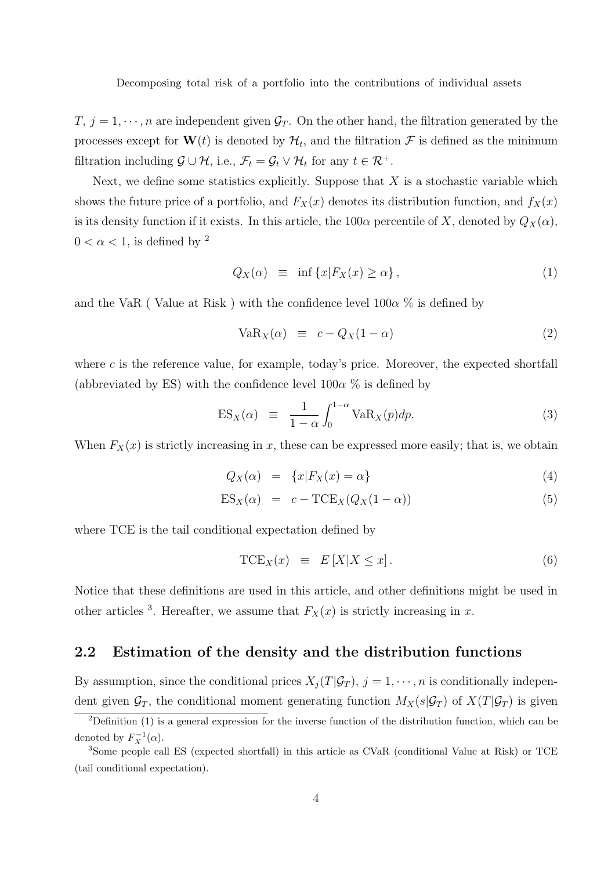*T,*  $j = 1, \dots, n$  are independent given  $\mathcal{G}_T$ . On the other hand, the filtration generated by the processes except for  $\mathbf{W}(t)$  is denoted by  $\mathcal{H}_t$ , and the filtration  $\mathcal F$  is defined as the minimum filtration including  $\mathcal{G} \cup \mathcal{H}$ , i.e.,  $\mathcal{F}_t = \mathcal{G}_t \vee \mathcal{H}_t$  for any  $t \in \mathcal{R}^+$ .

Next, we define some statistics explicitly. Suppose that *X* is a stochastic variable which shows the future price of a portfolio, and  $F_X(x)$  denotes its distribution function, and  $f_X(x)$ is its density function if it exists. In this article, the  $100\alpha$  percentile of *X*, denoted by  $Q_X(\alpha)$ ,  $0 < \alpha < 1$ , is defined by <sup>2</sup>

$$
Q_X(\alpha) \equiv \inf \{ x | F_X(x) \ge \alpha \}, \tag{1}
$$

and the VaR (Value at Risk) with the confidence level  $100\alpha$  % is defined by

$$
VaR_X(\alpha) \equiv c - Q_X(1 - \alpha) \tag{2}
$$

where *c* is the reference value, for example, today's price. Moreover, the expected shortfall (abbreviated by ES) with the confidence level  $100\alpha$  % is defined by

$$
ES_X(\alpha) \equiv \frac{1}{1-\alpha} \int_0^{1-\alpha} VaR_X(p)dp.
$$
 (3)

When  $F_X(x)$  is strictly increasing in x, these can be expressed more easily; that is, we obtain

$$
Q_X(\alpha) = \{x | F_X(x) = \alpha\}
$$
\n(4)

$$
ES_X(\alpha) = c - TCE_X(Q_X(1 - \alpha))
$$
\n(5)

where TCE is the tail conditional expectation defined by

$$
TCE_X(x) \equiv E[X|X \le x]. \tag{6}
$$

Notice that these definitions are used in this article, and other definitions might be used in other articles <sup>3</sup>. Hereafter, we assume that  $F_X(x)$  is strictly increasing in *x*.

## **2.2 Estimation of the density and the distribution functions**

By assumption, since the conditional prices  $X_j(T|\mathcal{G}_T)$ ,  $j = 1, \dots, n$  is conditionally independent given  $\mathcal{G}_T$ , the conditional moment generating function  $M_X(s|\mathcal{G}_T)$  of  $X(T|\mathcal{G}_T)$  is given

<sup>&</sup>lt;sup>2</sup>Definition (1) is a general expression for the inverse function of the distribution function, which can be denoted by  $F_X^{-1}(\alpha)$ .

<sup>3</sup>Some people call ES (expected shortfall) in this article as CVaR (conditional Value at Risk) or TCE (tail conditional expectation).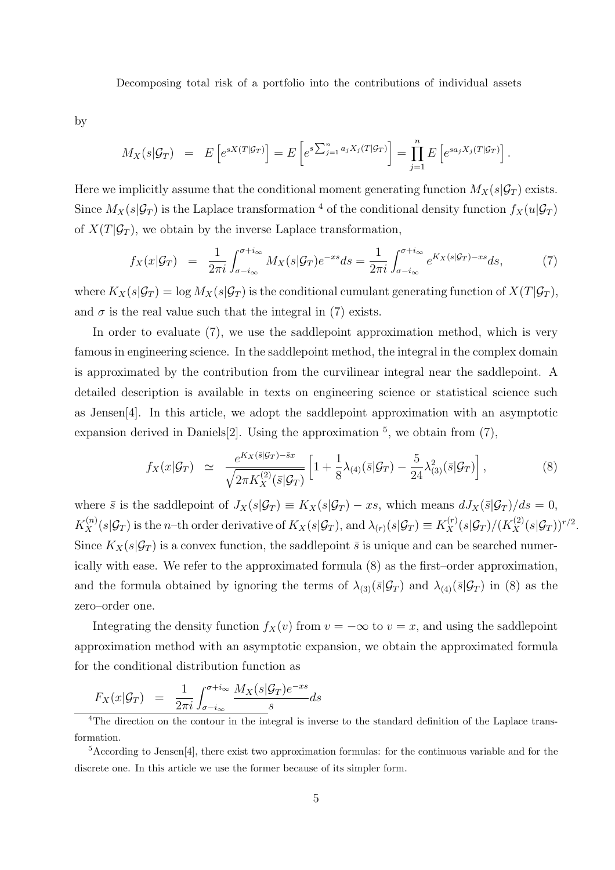by

$$
M_X(s|\mathcal{G}_T) = E\left[e^{sX(T|\mathcal{G}_T)}\right] = E\left[e^{s\sum_{j=1}^n a_j X_j(T|\mathcal{G}_T)}\right] = \prod_{j=1}^n E\left[e^{s a_j X_j(T|\mathcal{G}_T)}\right].
$$

Here we implicitly assume that the conditional moment generating function  $M_X(s|\mathcal{G}_T)$  exists. Since  $M_X(s|\mathcal{G}_T)$  is the Laplace transformation <sup>4</sup> of the conditional density function  $f_X(u|\mathcal{G}_T)$ of  $X(T|\mathcal{G}_T)$ , we obtain by the inverse Laplace transformation,

$$
f_X(x|\mathcal{G}_T) = \frac{1}{2\pi i} \int_{\sigma - i\infty}^{\sigma + i\infty} M_X(s|\mathcal{G}_T) e^{-xs} ds = \frac{1}{2\pi i} \int_{\sigma - i\infty}^{\sigma + i\infty} e^{K_X(s|\mathcal{G}_T) - xs} ds,\tag{7}
$$

where  $K_X(s|\mathcal{G}_T) = \log M_X(s|\mathcal{G}_T)$  is the conditional cumulant generating function of  $X(T|\mathcal{G}_T)$ , and  $\sigma$  is the real value such that the integral in (7) exists.

In order to evaluate  $(7)$ , we use the saddlepoint approximation method, which is very famous in engineering science. In the saddlepoint method, the integral in the complex domain is approximated by the contribution from the curvilinear integral near the saddlepoint. A detailed description is available in texts on engineering science or statistical science such as Jensen[4]. In this article, we adopt the saddlepoint approximation with an asymptotic expansion derived in Daniels<sup>[2]</sup>. Using the approximation  $5$ , we obtain from  $(7)$ ,

$$
f_X(x|\mathcal{G}_T) \simeq \frac{e^{K_X(\bar{s}|\mathcal{G}_T) - \bar{s}x}}{\sqrt{2\pi K_X^{(2)}(\bar{s}|\mathcal{G}_T)}} \left[1 + \frac{1}{8}\lambda_{(4)}(\bar{s}|\mathcal{G}_T) - \frac{5}{24}\lambda_{(3)}^2(\bar{s}|\mathcal{G}_T)\right],\tag{8}
$$

where  $\bar{s}$  is the saddlepoint of  $J_X(s|\mathcal{G}_T) \equiv K_X(s|\mathcal{G}_T) - xs$ , which means  $dJ_X(\bar{s}|\mathcal{G}_T)/ds = 0$ ,  $K_X^{(n)}(s|\mathcal{G}_T)$  is the n-th order derivative of  $K_X(s|\mathcal{G}_T)$ , and  $\lambda_{(r)}(s|\mathcal{G}_T) \equiv K_X^{(r)}(s|\mathcal{G}_T)/(K_X^{(2)}(s|\mathcal{G}_T))^{r/2}$ . Since  $K_X(s|\mathcal{G}_T)$  is a convex function, the saddlepoint  $\bar{s}$  is unique and can be searched numerically with ease. We refer to the approximated formula (8) as the first–order approximation, and the formula obtained by ignoring the terms of  $\lambda_{(3)}(\bar{s}|\mathcal{G}_T)$  and  $\lambda_{(4)}(\bar{s}|\mathcal{G}_T)$  in (8) as the zero–order one.

Integrating the density function  $f_X(v)$  from  $v = -\infty$  to  $v = x$ , and using the saddlepoint approximation method with an asymptotic expansion, we obtain the approximated formula for the conditional distribution function as

$$
F_X(x|\mathcal{G}_T) = \frac{1}{2\pi i} \int_{\sigma - i\infty}^{\sigma + i\infty} \frac{M_X(s|\mathcal{G}_T)e^{-xs}}{s} ds
$$

<sup>&</sup>lt;sup>4</sup>The direction on the contour in the integral is inverse to the standard definition of the Laplace transformation.

<sup>5</sup>According to Jensen[4], there exist two approximation formulas: for the continuous variable and for the discrete one. In this article we use the former because of its simpler form.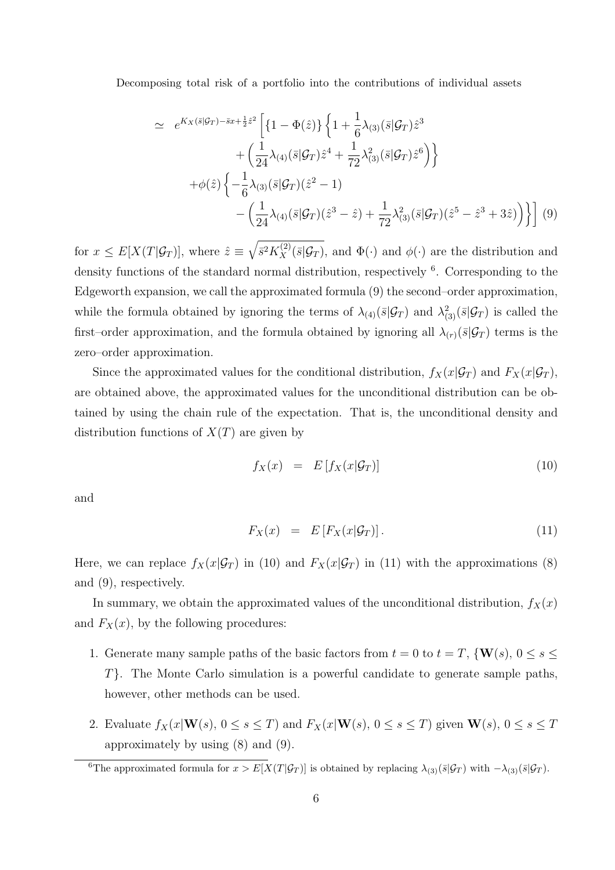$$
\simeq e^{K_X(\bar{s}|\mathcal{G}_T) - \bar{s}x + \frac{1}{2}\hat{z}^2} \left[ \{ 1 - \Phi(\hat{z}) \} \left\{ 1 + \frac{1}{6} \lambda_{(3)}(\bar{s}|\mathcal{G}_T) \hat{z}^3 \right.\right.\left. + \left( \frac{1}{24} \lambda_{(4)}(\bar{s}|\mathcal{G}_T) \hat{z}^4 + \frac{1}{72} \lambda_{(3)}^2(\bar{s}|\mathcal{G}_T) \hat{z}^6 \right) \right\} + \phi(\hat{z}) \left\{ - \frac{1}{6} \lambda_{(3)}(\bar{s}|\mathcal{G}_T) (\hat{z}^2 - 1) \right.- \left( \frac{1}{24} \lambda_{(4)}(\bar{s}|\mathcal{G}_T) (\hat{z}^3 - \hat{z}) + \frac{1}{72} \lambda_{(3)}^2(\bar{s}|\mathcal{G}_T) (\hat{z}^5 - \hat{z}^3 + 3\hat{z}) \right) \right] (9)
$$

for  $x \leq E[X(T|\mathcal{G}_T)]$ , where  $\hat{z} \equiv \sqrt{\bar{s}^2 K_X^{(2)}(\bar{s}|\mathcal{G}_T)}$ , and  $\Phi(\cdot)$  and  $\phi(\cdot)$  are the distribution and density functions of the standard normal distribution, respectively <sup>6</sup>. Corresponding to the Edgeworth expansion, we call the approximated formula (9) the second–order approximation, while the formula obtained by ignoring the terms of  $\lambda_{(4)}(\bar{s}|\mathcal{G}_T)$  and  $\lambda_{(3)}^2(\bar{s}|\mathcal{G}_T)$  is called the first–order approximation, and the formula obtained by ignoring all  $\lambda_{(r)}(\bar{s}|\mathcal{G}_T)$  terms is the zero–order approximation.

Since the approximated values for the conditional distribution,  $f_X(x|\mathcal{G}_T)$  and  $F_X(x|\mathcal{G}_T)$ , are obtained above, the approximated values for the unconditional distribution can be obtained by using the chain rule of the expectation. That is, the unconditional density and distribution functions of *X*(*T*) are given by

$$
f_X(x) = E[f_X(x|\mathcal{G}_T)] \tag{10}
$$

and

$$
F_X(x) = E[F_X(x|\mathcal{G}_T)]. \qquad (11)
$$

Here, we can replace  $f_X(x|\mathcal{G}_T)$  in (10) and  $F_X(x|\mathcal{G}_T)$  in (11) with the approximations (8) and (9), respectively.

In summary, we obtain the approximated values of the unconditional distribution,  $f_X(x)$ and  $F_X(x)$ , by the following procedures:

- 1. Generate many sample paths of the basic factors from  $t = 0$  to  $t = T$ ,  $\{W(s), 0 \le s \le t\}$ *T}*. The Monte Carlo simulation is a powerful candidate to generate sample paths, however, other methods can be used.
- 2. Evaluate  $f_X(x|\mathbf{W}(s), 0 \le s \le T)$  and  $F_X(x|\mathbf{W}(s), 0 \le s \le T)$  given  $\mathbf{W}(s), 0 \le s \le T$ approximately by using (8) and (9).

<sup>&</sup>lt;sup>6</sup>The approximated formula for  $x > E[X(T|\mathcal{G}_T)]$  is obtained by replacing  $\lambda_{(3)}(\bar{s}|\mathcal{G}_T)$  with  $-\lambda_{(3)}(\bar{s}|\mathcal{G}_T)$ .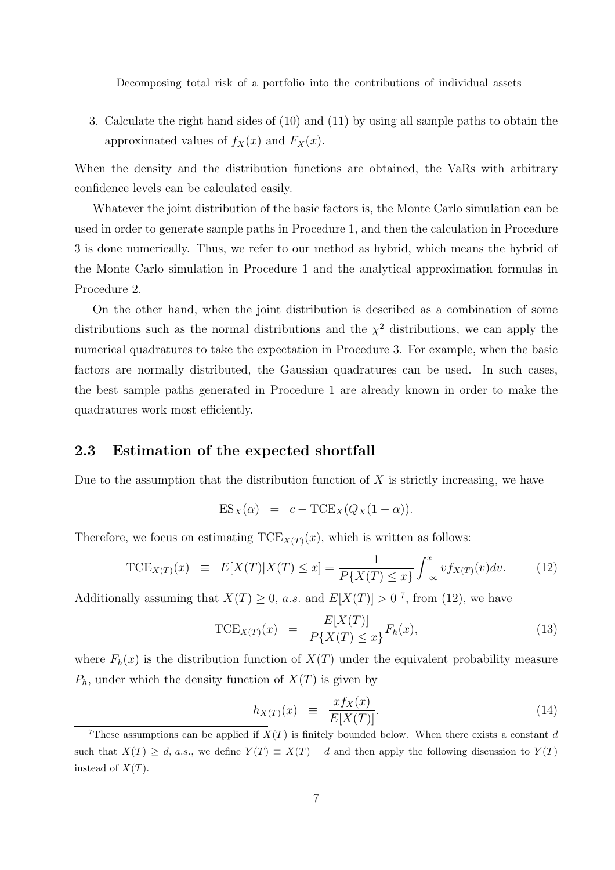3. Calculate the right hand sides of (10) and (11) by using all sample paths to obtain the approximated values of  $f_X(x)$  and  $F_X(x)$ .

When the density and the distribution functions are obtained, the VaRs with arbitrary confidence levels can be calculated easily.

Whatever the joint distribution of the basic factors is, the Monte Carlo simulation can be used in order to generate sample paths in Procedure 1, and then the calculation in Procedure 3 is done numerically. Thus, we refer to our method as hybrid, which means the hybrid of the Monte Carlo simulation in Procedure 1 and the analytical approximation formulas in Procedure 2.

On the other hand, when the joint distribution is described as a combination of some distributions such as the normal distributions and the  $\chi^2$  distributions, we can apply the numerical quadratures to take the expectation in Procedure 3. For example, when the basic factors are normally distributed, the Gaussian quadratures can be used. In such cases, the best sample paths generated in Procedure 1 are already known in order to make the quadratures work most efficiently.

## **2.3 Estimation of the expected shortfall**

Due to the assumption that the distribution function of *X* is strictly increasing, we have

$$
ES_X(\alpha) = c - TCE_X(Q_X(1 - \alpha)).
$$

Therefore, we focus on estimating  $TCE_{X(T)}(x)$ , which is written as follows:

$$
\text{TCE}_{X(T)}(x) \equiv E[X(T)|X(T) \le x] = \frac{1}{P\{X(T) \le x\}} \int_{-\infty}^{x} v f_{X(T)}(v) dv. \tag{12}
$$

Additionally assuming that  $X(T) \geq 0$ , a.s. and  $E[X(T)] > 0$ <sup>7</sup>, from (12), we have

$$
\text{TCE}_{X(T)}(x) = \frac{E[X(T)]}{P\{X(T) \le x\}} F_h(x),\tag{13}
$$

where  $F_h(x)$  is the distribution function of  $X(T)$  under the equivalent probability measure  $P_h$ , under which the density function of  $X(T)$  is given by

$$
h_{X(T)}(x) \equiv \frac{x f_X(x)}{E[X(T)]}.\tag{14}
$$

<sup>&</sup>lt;sup>7</sup>These assumptions can be applied if  $X(T)$  is finitely bounded below. When there exists a constant *d* such that  $X(T) \geq d$ , a.s., we define  $Y(T) \equiv X(T) - d$  and then apply the following discussion to  $Y(T)$ instead of  $X(T)$ .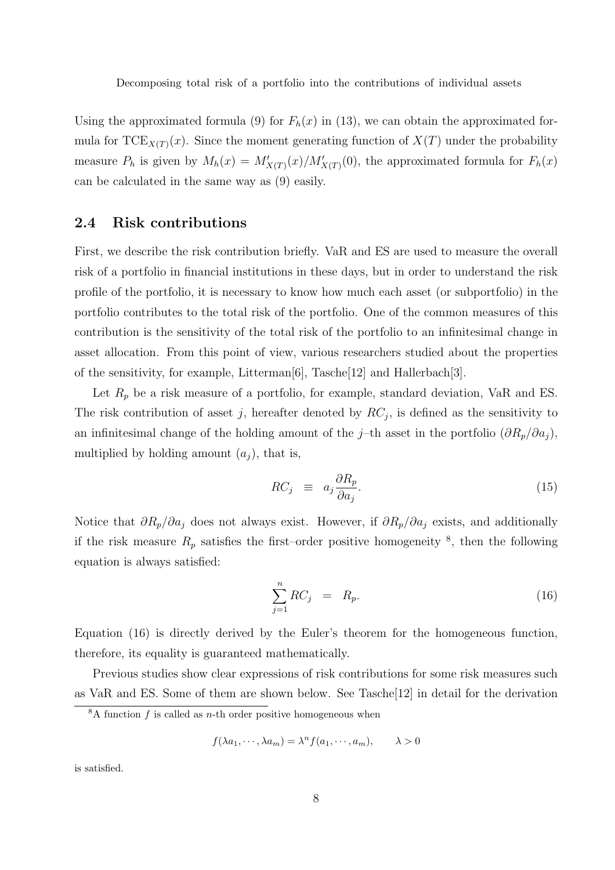Using the approximated formula (9) for  $F_h(x)$  in (13), we can obtain the approximated formula for  $TCE_{X(T)}(x)$ . Since the moment generating function of  $X(T)$  under the probability measure  $P_h$  is given by  $M_h(x) = M'_{X(T)}(x)/M'_{X(T)}(0)$ , the approximated formula for  $F_h(x)$ can be calculated in the same way as (9) easily.

### **2.4 Risk contributions**

First, we describe the risk contribution briefly. VaR and ES are used to measure the overall risk of a portfolio in financial institutions in these days, but in order to understand the risk profile of the portfolio, it is necessary to know how much each asset (or subportfolio) in the portfolio contributes to the total risk of the portfolio. One of the common measures of this contribution is the sensitivity of the total risk of the portfolio to an infinitesimal change in asset allocation. From this point of view, various researchers studied about the properties of the sensitivity, for example, Litterman[6], Tasche[12] and Hallerbach[3].

Let  $R_p$  be a risk measure of a portfolio, for example, standard deviation, VaR and ES. The risk contribution of asset *j*, hereafter denoted by  $RC_j$ , is defined as the sensitivity to an infinitesimal change of the holding amount of the *j*–th asset in the portfolio  $(\partial R_p/\partial a_j)$ , multiplied by holding amount  $(a_i)$ , that is,

$$
RC_j \equiv a_j \frac{\partial R_p}{\partial a_j}.\tag{15}
$$

Notice that *∂Rp/∂a<sup>j</sup>* does not always exist. However, if *∂Rp/∂a<sup>j</sup>* exists, and additionally if the risk measure  $R_p$  satisfies the first–order positive homogeneity  $\frac{8}{5}$ , then the following equation is always satisfied:

$$
\sum_{j=1}^{n} RC_j = R_p. \tag{16}
$$

Equation (16) is directly derived by the Euler's theorem for the homogeneous function, therefore, its equality is guaranteed mathematically.

Previous studies show clear expressions of risk contributions for some risk measures such as VaR and ES. Some of them are shown below. See Tasche[12] in detail for the derivation

$$
f(\lambda a_1, \cdots, \lambda a_m) = \lambda^n f(a_1, \cdots, a_m), \qquad \lambda > 0
$$

is satisfied.

 $8A$  function  $f$  is called as  $n$ -th order positive homogeneous when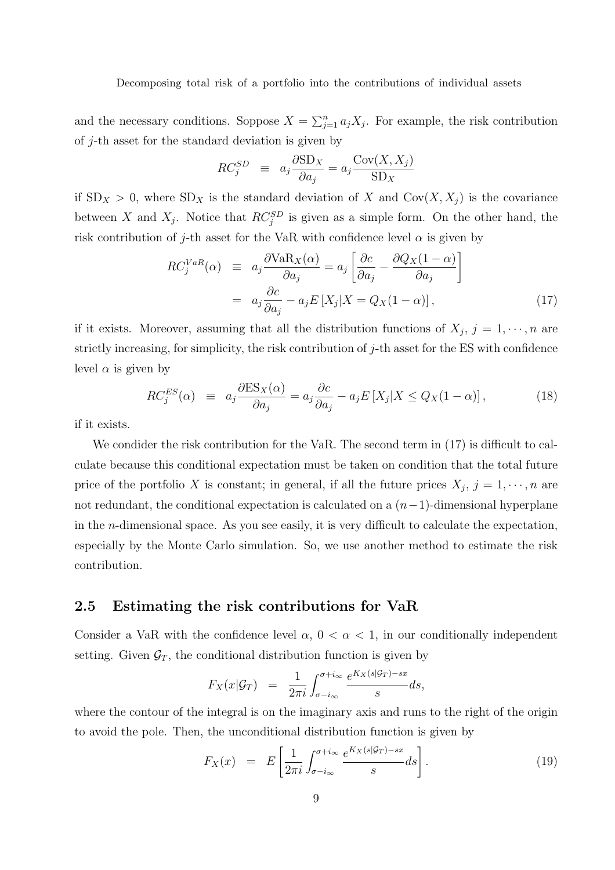and the necessary conditions. Soppose  $X = \sum_{j=1}^{n} a_j X_j$ . For example, the risk contribution of *j*-th asset for the standard deviation is given by

$$
RC_j^{SD} \equiv a_j \frac{\partial SD_X}{\partial a_j} = a_j \frac{\text{Cov}(X, X_j)}{\text{SD}_X}
$$

if  $SD_X > 0$ , where  $SD_X$  is the standard deviation of *X* and  $Cov(X, X_j)$  is the covariance between *X* and  $X_j$ . Notice that  $RC_j^{SD}$  is given as a simple form. On the other hand, the risk contribution of *j*-th asset for the VaR with confidence level  $\alpha$  is given by

$$
RC_j^{VaR}(\alpha) \equiv a_j \frac{\partial \text{VaR}_X(\alpha)}{\partial a_j} = a_j \left[ \frac{\partial c}{\partial a_j} - \frac{\partial Q_X(1-\alpha)}{\partial a_j} \right]
$$

$$
= a_j \frac{\partial c}{\partial a_j} - a_j E[X_j | X = Q_X(1-\alpha)], \tag{17}
$$

if it exists. Moreover, assuming that all the distribution functions of  $X_j$ ,  $j = 1, \dots, n$  are strictly increasing, for simplicity, the risk contribution of *j*-th asset for the ES with confidence level  $\alpha$  is given by

$$
RC_j^{ES}(\alpha) \equiv a_j \frac{\partial ES_X(\alpha)}{\partial a_j} = a_j \frac{\partial c}{\partial a_j} - a_j E[X_j | X \le Q_X(1 - \alpha)], \qquad (18)
$$

if it exists.

We condider the risk contribution for the VaR. The second term in  $(17)$  is difficult to calculate because this conditional expectation must be taken on condition that the total future price of the portfolio *X* is constant; in general, if all the future prices  $X_j$ ,  $j = 1, \dots, n$  are not redundant, the conditional expectation is calculated on a (*n−*1)-dimensional hyperplane in the *n*-dimensional space. As you see easily, it is very difficult to calculate the expectation, especially by the Monte Carlo simulation. So, we use another method to estimate the risk contribution.

## **2.5 Estimating the risk contributions for VaR**

Consider a VaR with the confidence level  $\alpha$ ,  $0 < \alpha < 1$ , in our conditionally independent setting. Given  $\mathcal{G}_T$ , the conditional distribution function is given by

$$
F_X(x|\mathcal{G}_T) = \frac{1}{2\pi i} \int_{\sigma - i\infty}^{\sigma + i\infty} \frac{e^{K_X(s|\mathcal{G}_T) - sx}}{s} ds,
$$

where the contour of the integral is on the imaginary axis and runs to the right of the origin to avoid the pole. Then, the unconditional distribution function is given by

$$
F_X(x) = E\left[\frac{1}{2\pi i} \int_{\sigma - i\infty}^{\sigma + i\infty} \frac{e^{K_X(s|\mathcal{G}_T) - sx}}{s} ds\right].
$$
 (19)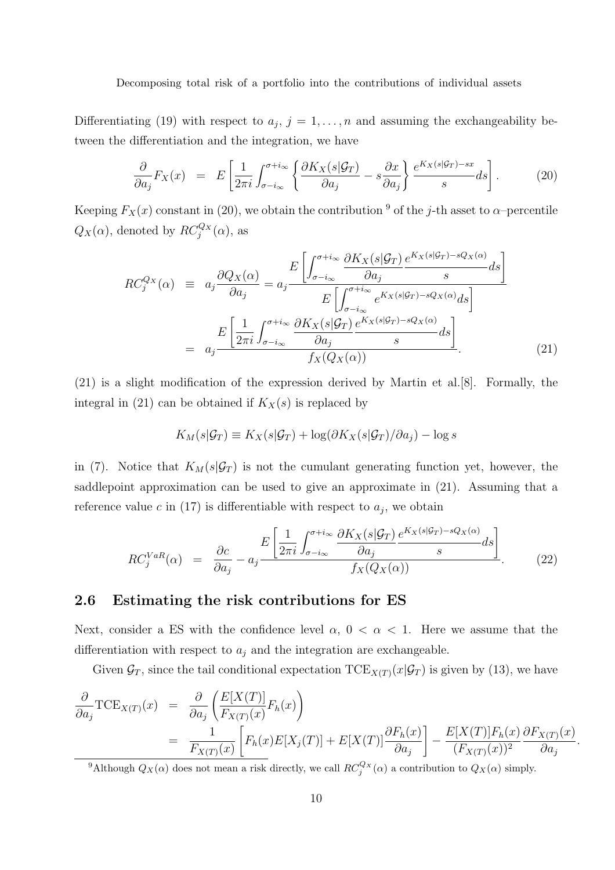Differentiating (19) with respect to  $a_j$ ,  $j = 1, \ldots, n$  and assuming the exchangeability between the differentiation and the integration, we have

$$
\frac{\partial}{\partial a_j} F_X(x) = E\left[\frac{1}{2\pi i} \int_{\sigma - i\infty}^{\sigma + i\infty} \left\{ \frac{\partial K_X(s|\mathcal{G}_T)}{\partial a_j} - s \frac{\partial x}{\partial a_j} \right\} \frac{e^{K_X(s|\mathcal{G}_T) - sx}}{s} ds \right].
$$
 (20)

Keeping  $F_X(x)$  constant in (20), we obtain the contribution <sup>9</sup> of the *j*-th asset to *α*–percentile  $Q_X(\alpha)$ , denoted by  $RC_j^{Q_X}(\alpha)$ , as

$$
RC_j^{Q_X}(\alpha) \equiv a_j \frac{\partial Q_X(\alpha)}{\partial a_j} = a_j \frac{E\left[\int_{\sigma - i_{\infty}}^{\sigma + i_{\infty}} \frac{\partial K_X(s|\mathcal{G}_T)}{\partial a_j} \frac{e^{K_X(s|\mathcal{G}_T) - sQ_X(\alpha)}}{s} ds\right]}{E\left[\int_{\sigma - i_{\infty}}^{\sigma + i_{\infty}} e^{K_X(s|\mathcal{G}_T) - sQ_X(\alpha)} ds\right]}
$$

$$
= a_j \frac{E\left[\frac{1}{2\pi i} \int_{\sigma - i_{\infty}}^{\sigma + i_{\infty}} \frac{\partial K_X(s|\mathcal{G}_T)}{\partial a_j} \frac{e^{K_X(s|\mathcal{G}_T) - sQ_X(\alpha)}}{s} ds\right]}{f_X(Q_X(\alpha))}.
$$
(21)

(21) is a slight modification of the expression derived by Martin et al.[8]. Formally, the integral in (21) can be obtained if  $K_X(s)$  is replaced by

$$
K_M(s|\mathcal{G}_T) \equiv K_X(s|\mathcal{G}_T) + \log(\partial K_X(s|\mathcal{G}_T)/\partial a_j) - \log s
$$

in (7). Notice that  $K_M(s|\mathcal{G}_T)$  is not the cumulant generating function yet, however, the saddlepoint approximation can be used to give an approximate in (21). Assuming that a reference value  $c$  in (17) is differentiable with respect to  $a_j$ , we obtain

$$
RC_j^{VaR}(\alpha) = \frac{\partial c}{\partial a_j} - a_j \frac{E\left[\frac{1}{2\pi i} \int_{\sigma - i\infty}^{\sigma + i\infty} \frac{\partial K_X(s|\mathcal{G}_T)}{\partial a_j} \frac{e^{K_X(s|\mathcal{G}_T) - sQ_X(\alpha)}}{s} ds\right]}{f_X(Q_X(\alpha))}.
$$
 (22)

### **2.6 Estimating the risk contributions for ES**

Next, consider a ES with the confidence level  $\alpha$ ,  $0 < \alpha < 1$ . Here we assume that the differentiation with respect to  $a_j$  and the integration are exchangeable.

Given  $\mathcal{G}_T$ , since the tail conditional expectation  $TCE_{X(T)}(x|\mathcal{G}_T)$  is given by (13), we have

$$
\frac{\partial}{\partial a_j} \text{TCE}_{X(T)}(x) = \frac{\partial}{\partial a_j} \left( \frac{E[X(T)]}{F_{X(T)}(x)} F_h(x) \right)
$$
\n
$$
= \frac{1}{F_{X(T)}(x)} \left[ F_h(x) E[X_j(T)] + E[X(T)] \frac{\partial F_h(x)}{\partial a_j} \right] - \frac{E[X(T)] F_h(x)}{(F_{X(T)}(x))^2} \frac{\partial F_{X(T)}(x)}{\partial a_j}.
$$

<sup>9</sup>Although  $Q_X(\alpha)$  does not mean a risk directly, we call  $RC_j^{Q_X}(\alpha)$  a contribution to  $Q_X(\alpha)$  simply.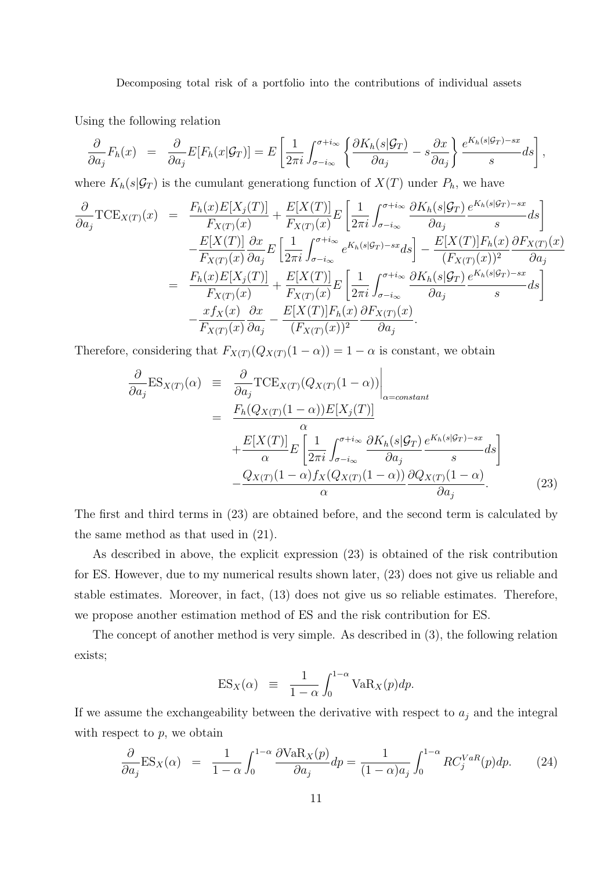Using the following relation

$$
\frac{\partial}{\partial a_j} F_h(x) = \frac{\partial}{\partial a_j} E[F_h(x|\mathcal{G}_T)] = E\left[\frac{1}{2\pi i} \int_{\sigma - i\infty}^{\sigma + i\infty} \left\{ \frac{\partial K_h(s|\mathcal{G}_T)}{\partial a_j} - s \frac{\partial x}{\partial a_j} \right\} \frac{e^{K_h(s|\mathcal{G}_T) - sx}}{s} ds \right],
$$

where  $K_h(s|\mathcal{G}_T)$  is the cumulant generationg function of  $X(T)$  under  $P_h$ , we have

$$
\frac{\partial}{\partial a_j} \text{TCE}_{X(T)}(x) = \frac{F_h(x)E[X_j(T)]}{F_{X(T)}(x)} + \frac{E[X(T)]}{F_{X(T)}(x)}E\left[\frac{1}{2\pi i}\int_{\sigma-i\infty}^{\sigma+i\infty} \frac{\partial K_h(s|\mathcal{G}_T)}{\partial a_j} \frac{e^{K_h(s|\mathcal{G}_T)-sx}}{s}ds\right] \n- \frac{E[X(T)]}{F_{X(T)}(x)}\frac{\partial x}{\partial a_j}E\left[\frac{1}{2\pi i}\int_{\sigma-i\infty}^{\sigma+i\infty} e^{K_h(s|\mathcal{G}_T)-sx}ds\right] - \frac{E[X(T)]F_h(x)}{(F_{X(T)}(x))^2}\frac{\partial F_{X(T)}(x)}{\partial a_j} \n= \frac{F_h(x)E[X_j(T)]}{F_{X(T)}(x)} + \frac{E[X(T)]}{F_{X(T)}(x)}E\left[\frac{1}{2\pi i}\int_{\sigma-i\infty}^{\sigma+i\infty} \frac{\partial K_h(s|\mathcal{G}_T)}{\partial a_j} \frac{e^{K_h(s|\mathcal{G}_T)-sx}}{s}ds\right] \n- \frac{x f_X(x)}{F_{X(T)}(x)}\frac{\partial x}{\partial a_j} - \frac{E[X(T)]F_h(x)}{(F_{X(T)}(x))^2}\frac{\partial F_{X(T)}(x)}{\partial a_j}.
$$

Therefore, considering that  $F_{X(T)}(Q_{X(T)}(1 - \alpha)) = 1 - \alpha$  is constant, we obtain

$$
\frac{\partial}{\partial a_j} ES_{X(T)}(\alpha) = \frac{\partial}{\partial a_j} TCE_{X(T)} (Q_{X(T)}(1-\alpha)) \Big|_{\alpha=constant}
$$
\n
$$
= \frac{F_h(Q_{X(T)}(1-\alpha))E[X_j(T)]}{\alpha} + \frac{E[X(T)]}{\alpha} E\left[\frac{1}{2\pi i} \int_{\sigma-i\infty}^{\sigma+i\infty} \frac{\partial K_h(s|\mathcal{G}_T) e^{K_h(s|\mathcal{G}_T) - sx}}{\partial a_j} ds\right]
$$
\n
$$
- \frac{Q_{X(T)}(1-\alpha) f_X(Q_{X(T)}(1-\alpha))}{\alpha} \frac{\partial Q_{X(T)}(1-\alpha)}{\partial a_j}.
$$
\n(23)

The first and third terms in (23) are obtained before, and the second term is calculated by the same method as that used in (21).

As described in above, the explicit expression (23) is obtained of the risk contribution for ES. However, due to my numerical results shown later, (23) does not give us reliable and stable estimates. Moreover, in fact, (13) does not give us so reliable estimates. Therefore, we propose another estimation method of ES and the risk contribution for ES.

The concept of another method is very simple. As described in (3), the following relation exists;

$$
ES_X(\alpha) \equiv \frac{1}{1-\alpha} \int_0^{1-\alpha} VaR_X(p) dp.
$$

If we assume the exchangeability between the derivative with respect to  $a_j$  and the integral with respect to *p*, we obtain

$$
\frac{\partial}{\partial a_j} ES_X(\alpha) = \frac{1}{1-\alpha} \int_0^{1-\alpha} \frac{\partial VaR_X(p)}{\partial a_j} dp = \frac{1}{(1-\alpha)a_j} \int_0^{1-\alpha} RC_j^{VaR}(p) dp. \tag{24}
$$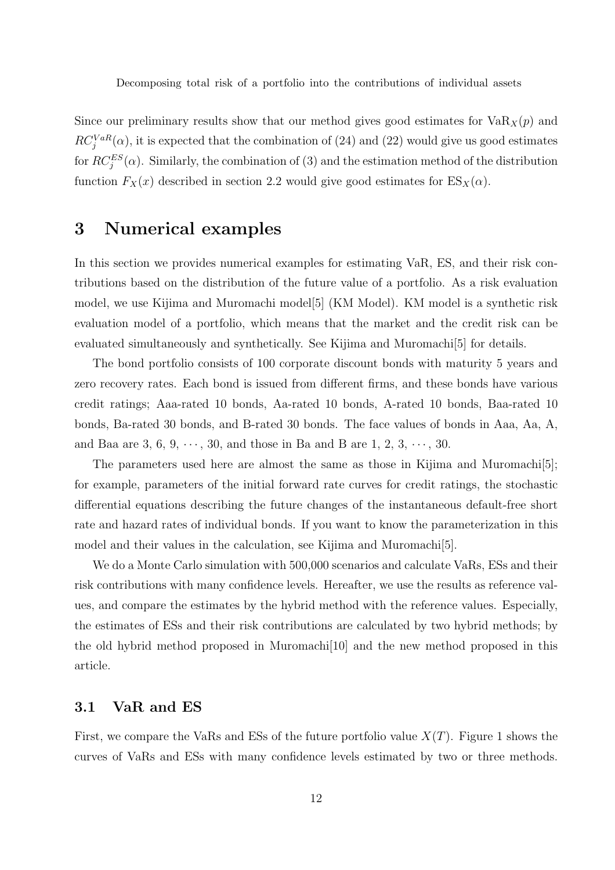Since our preliminary results show that our method gives good estimates for  $VaR_X(p)$  and  $RC_j^{VaR}(\alpha)$ , it is expected that the combination of (24) and (22) would give us good estimates for  $RC^{ES}_{j}(\alpha)$ . Similarly, the combination of (3) and the estimation method of the distribution function  $F_X(x)$  described in section 2.2 would give good estimates for  $ES_X(\alpha)$ .

## **3 Numerical examples**

In this section we provides numerical examples for estimating VaR, ES, and their risk contributions based on the distribution of the future value of a portfolio. As a risk evaluation model, we use Kijima and Muromachi model[5] (KM Model). KM model is a synthetic risk evaluation model of a portfolio, which means that the market and the credit risk can be evaluated simultaneously and synthetically. See Kijima and Muromachi[5] for details.

The bond portfolio consists of 100 corporate discount bonds with maturity 5 years and zero recovery rates. Each bond is issued from different firms, and these bonds have various credit ratings; Aaa-rated 10 bonds, Aa-rated 10 bonds, A-rated 10 bonds, Baa-rated 10 bonds, Ba-rated 30 bonds, and B-rated 30 bonds. The face values of bonds in Aaa, Aa, A, and Baa are 3, 6, 9,  $\cdots$ , 30, and those in Ba and B are 1, 2, 3,  $\cdots$ , 30.

The parameters used here are almost the same as those in Kijima and Muromachi<sup>[5]</sup>; for example, parameters of the initial forward rate curves for credit ratings, the stochastic differential equations describing the future changes of the instantaneous default-free short rate and hazard rates of individual bonds. If you want to know the parameterization in this model and their values in the calculation, see Kijima and Muromachi[5].

We do a Monte Carlo simulation with 500,000 scenarios and calculate VaRs, ESs and their risk contributions with many confidence levels. Hereafter, we use the results as reference values, and compare the estimates by the hybrid method with the reference values. Especially, the estimates of ESs and their risk contributions are calculated by two hybrid methods; by the old hybrid method proposed in Muromachi[10] and the new method proposed in this article.

## **3.1 VaR and ES**

First, we compare the VaRs and ESs of the future portfolio value *X*(*T*). Figure 1 shows the curves of VaRs and ESs with many confidence levels estimated by two or three methods.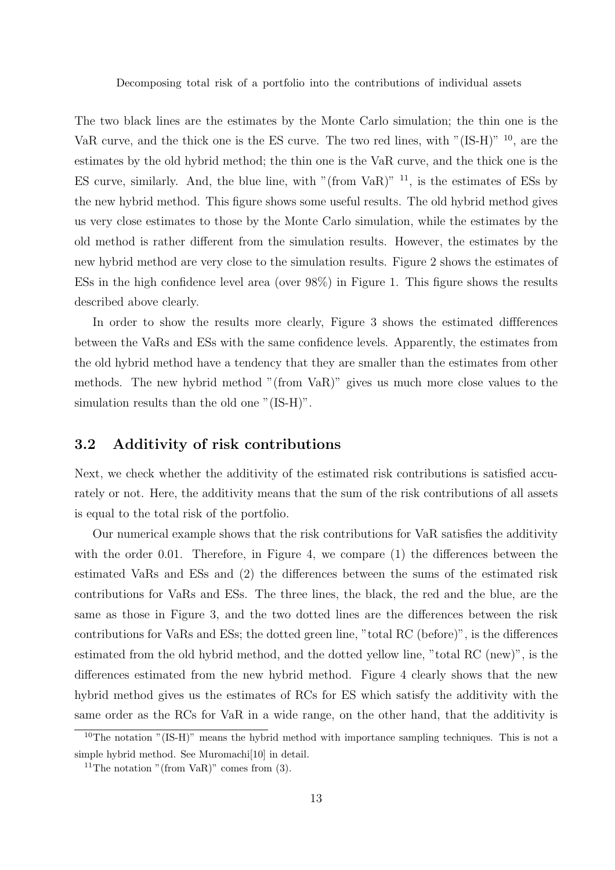The two black lines are the estimates by the Monte Carlo simulation; the thin one is the VaR curve, and the thick one is the ES curve. The two red lines, with "(IS-H)" <sup>10</sup>, are the estimates by the old hybrid method; the thin one is the VaR curve, and the thick one is the ES curve, similarly. And, the blue line, with "(from VaR)"  $^{11}$ , is the estimates of ESs by the new hybrid method. This figure shows some useful results. The old hybrid method gives us very close estimates to those by the Monte Carlo simulation, while the estimates by the old method is rather different from the simulation results. However, the estimates by the new hybrid method are very close to the simulation results. Figure 2 shows the estimates of ESs in the high confidence level area (over 98%) in Figure 1. This figure shows the results described above clearly.

In order to show the results more clearly, Figure 3 shows the estimated diffferences between the VaRs and ESs with the same confidence levels. Apparently, the estimates from the old hybrid method have a tendency that they are smaller than the estimates from other methods. The new hybrid method "(from VaR)" gives us much more close values to the simulation results than the old one "(IS-H)".

### **3.2 Additivity of risk contributions**

Next, we check whether the additivity of the estimated risk contributions is satisfied accurately or not. Here, the additivity means that the sum of the risk contributions of all assets is equal to the total risk of the portfolio.

Our numerical example shows that the risk contributions for VaR satisfies the additivity with the order 0.01. Therefore, in Figure 4, we compare (1) the differences between the estimated VaRs and ESs and (2) the differences between the sums of the estimated risk contributions for VaRs and ESs. The three lines, the black, the red and the blue, are the same as those in Figure 3, and the two dotted lines are the differences between the risk contributions for VaRs and ESs; the dotted green line, "total RC (before)", is the differences estimated from the old hybrid method, and the dotted yellow line, "total RC (new)", is the differences estimated from the new hybrid method. Figure 4 clearly shows that the new hybrid method gives us the estimates of RCs for ES which satisfy the additivity with the same order as the RCs for VaR in a wide range, on the other hand, that the additivity is

<sup>10</sup>The notation "(IS-H)" means the hybrid method with importance sampling techniques. This is not a simple hybrid method. See Muromachi[10] in detail.

<sup>&</sup>lt;sup>11</sup>The notation "(from VaR)" comes from  $(3)$ .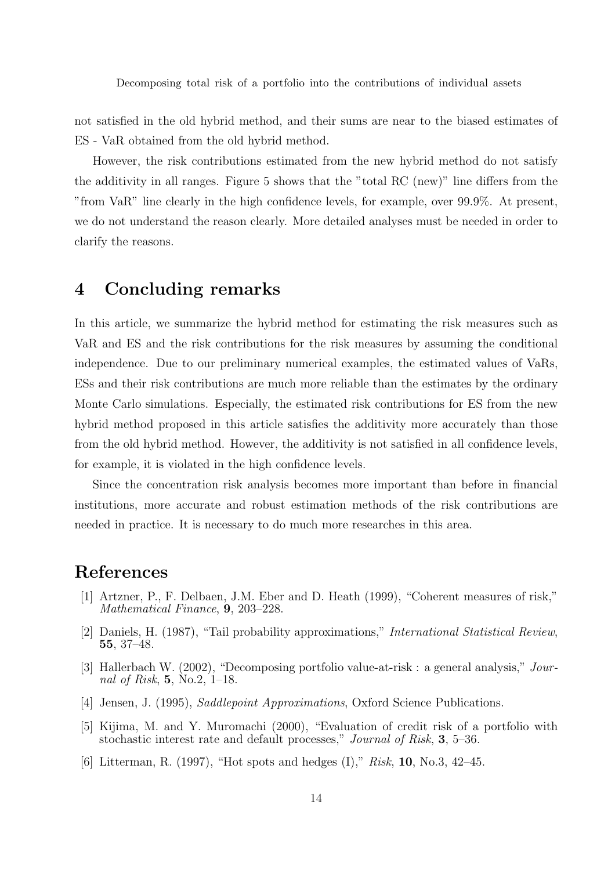not satisfied in the old hybrid method, and their sums are near to the biased estimates of ES - VaR obtained from the old hybrid method.

However, the risk contributions estimated from the new hybrid method do not satisfy the additivity in all ranges. Figure 5 shows that the "total RC (new)" line differs from the "from VaR" line clearly in the high confidence levels, for example, over 99*.*9%. At present, we do not understand the reason clearly. More detailed analyses must be needed in order to clarify the reasons.

## **4 Concluding remarks**

In this article, we summarize the hybrid method for estimating the risk measures such as VaR and ES and the risk contributions for the risk measures by assuming the conditional independence. Due to our preliminary numerical examples, the estimated values of VaRs, ESs and their risk contributions are much more reliable than the estimates by the ordinary Monte Carlo simulations. Especially, the estimated risk contributions for ES from the new hybrid method proposed in this article satisfies the additivity more accurately than those from the old hybrid method. However, the additivity is not satisfied in all confidence levels, for example, it is violated in the high confidence levels.

Since the concentration risk analysis becomes more important than before in financial institutions, more accurate and robust estimation methods of the risk contributions are needed in practice. It is necessary to do much more researches in this area.

## **References**

- [1] Artzner, P., F. Delbaen, J.M. Eber and D. Heath (1999), "Coherent measures of risk," *Mathematical Finance*, **9**, 203–228.
- [2] Daniels, H. (1987), "Tail probability approximations," *International Statistical Review*, **55**, 37–48.
- [3] Hallerbach W. (2002), "Decomposing portfolio value-at-risk : a general analysis," *Journal of Risk*, **5**, No.2, 1–18.
- [4] Jensen, J. (1995), *Saddlepoint Approximations*, Oxford Science Publications.
- [5] Kijima, M. and Y. Muromachi (2000), "Evaluation of credit risk of a portfolio with stochastic interest rate and default processes," *Journal of Risk*, **3**, 5–36.
- [6] Litterman, R. (1997), "Hot spots and hedges (I)," *Risk*, **10**, No.3, 42–45.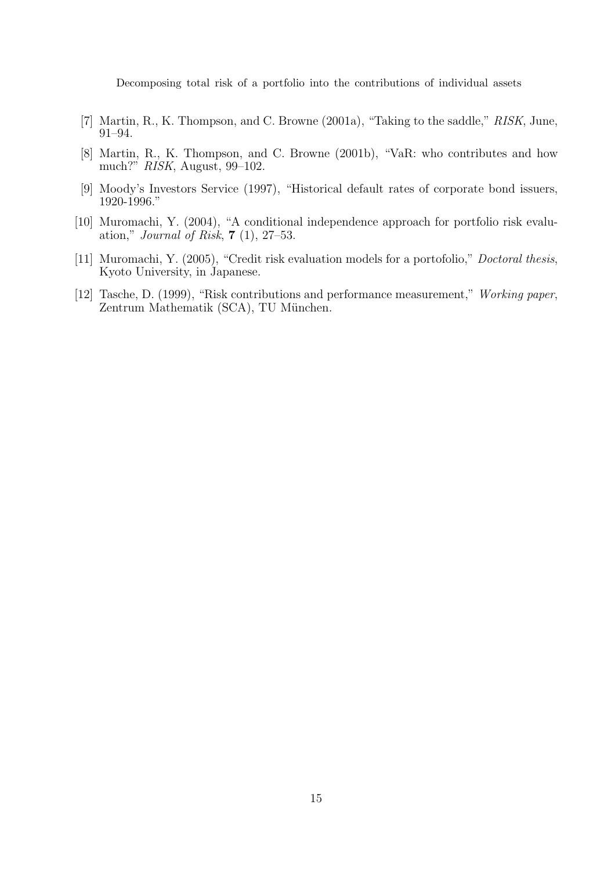- [7] Martin, R., K. Thompson, and C. Browne (2001a), "Taking to the saddle," *RISK*, June, 91–94.
- [8] Martin, R., K. Thompson, and C. Browne (2001b), "VaR: who contributes and how much?" *RISK*, August, 99–102.
- [9] Moody's Investors Service (1997), "Historical default rates of corporate bond issuers, 1920-1996."
- [10] Muromachi, Y. (2004), "A conditional independence approach for portfolio risk evaluation," *Journal of Risk*, **7** (1), 27–53.
- [11] Muromachi, Y. (2005), "Credit risk evaluation models for a portofolio," *Doctoral thesis*, Kyoto University, in Japanese.
- [12] Tasche, D. (1999), "Risk contributions and performance measurement," *Working paper*, Zentrum Mathematik (SCA), TU München.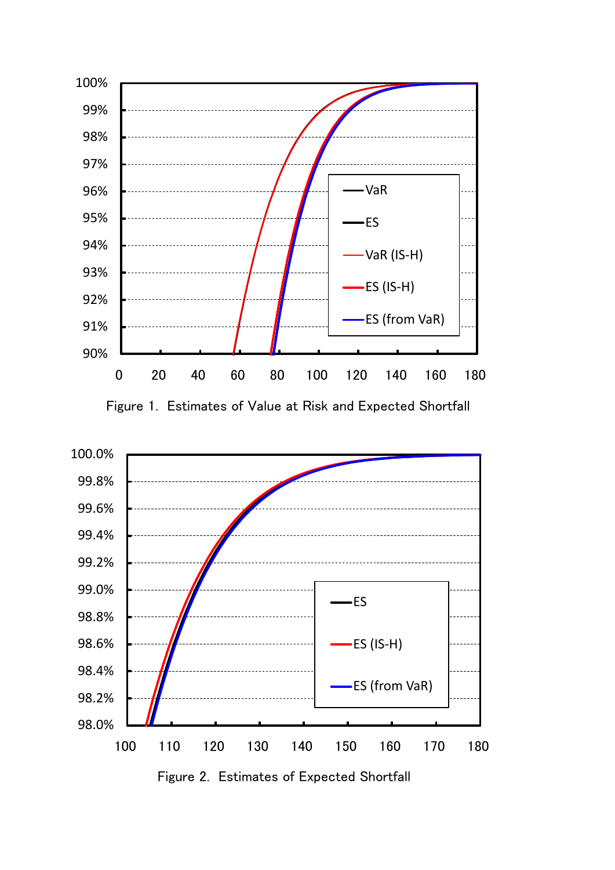



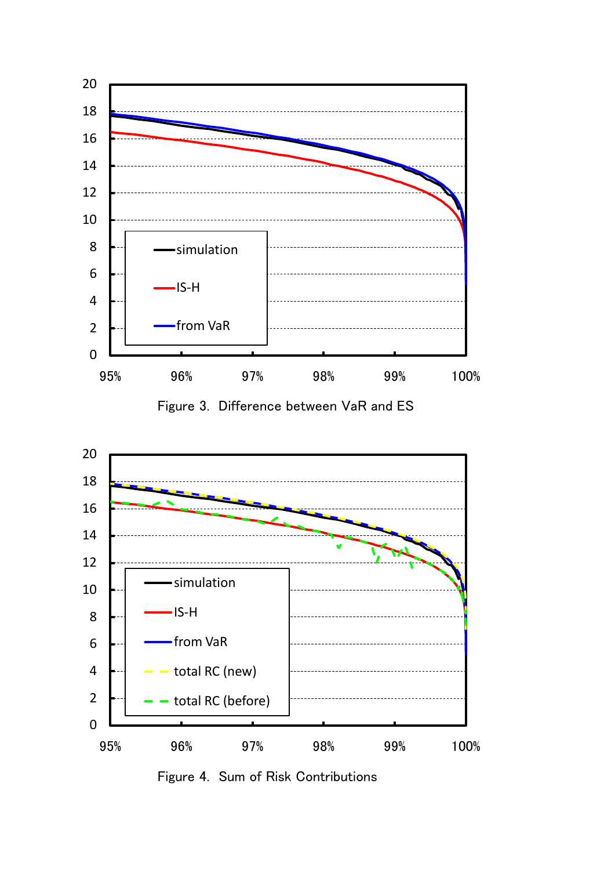





Figure 4. Sum of Risk Contributions